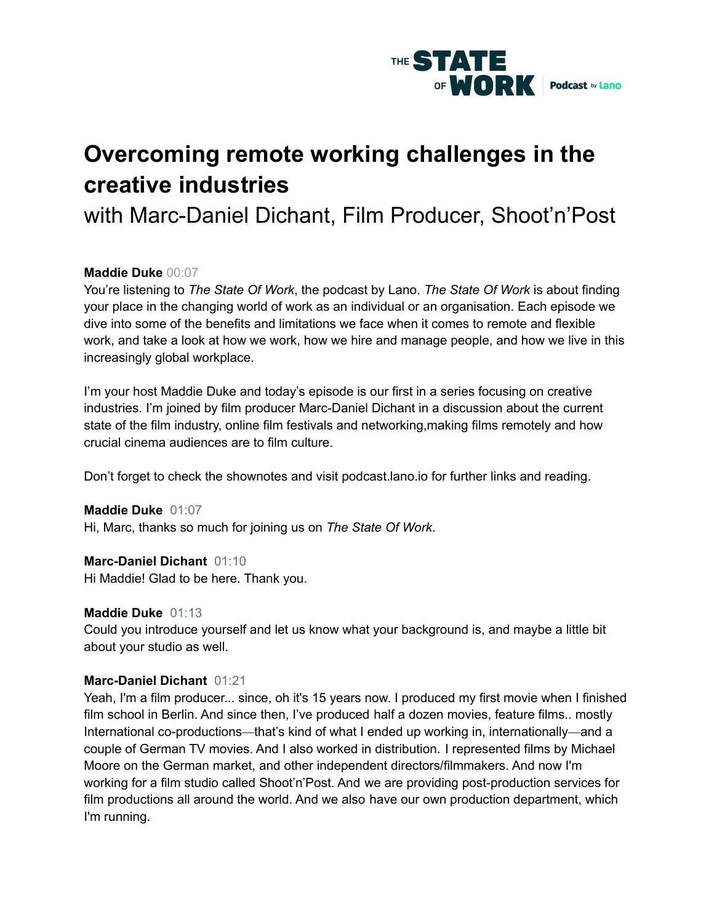

# **Overcoming remote working challenges in the creative industries**

with Marc-Daniel Dichant, Film Producer, Shoot'n'Post

# **Maddie Duke** 00:07

You're listening to *The State Of Work*, the podcast by Lano. *The State Of Work* is about finding your place in the changing world of work as an individual or an organisation. Each episode we dive into some of the benefits and limitations we face when it comes to remote and flexible work, and take a look at how we work, how we hire and manage people, and how we live in this increasingly global workplace.

I'm your host Maddie Duke and today's episode is our first in a series focusing on creative industries. I'm joined by film producer Marc-Daniel Dichant in a discussion about the current state of the film industry, online film festivals and networking,making films remotely and how crucial cinema audiences are to film culture.

Don't forget to check the shownotes and visit podcast.lano.io for further links and reading.

#### **Maddie Duke** 01:07

Hi, Marc, thanks so much for joining us on *The State Of Work*.

#### **Marc-Daniel Dichant** 01:10

Hi Maddie! Glad to be here. Thank you.

#### **Maddie Duke** 01:13

Could you introduce yourself and let us know what your background is, and maybe a little bit about your studio as well.

#### **Marc-Daniel Dichant** 01:21

Yeah, I'm a film producer... since, oh it's 15 years now. I produced my first movie when I finished film school in Berlin. And since then, I've produced half a dozen movies, feature films.. mostly International co-productions—that's kind of what I ended up working in, internationally—and a couple of German TV movies. And I also worked in distribution. I represented films by Michael Moore on the German market, and other independent directors/filmmakers. And now I'm working for a film studio called Shoot'n'Post. And we are providing post-production services for film productions all around the world. And we also have our own production department, which I'm running.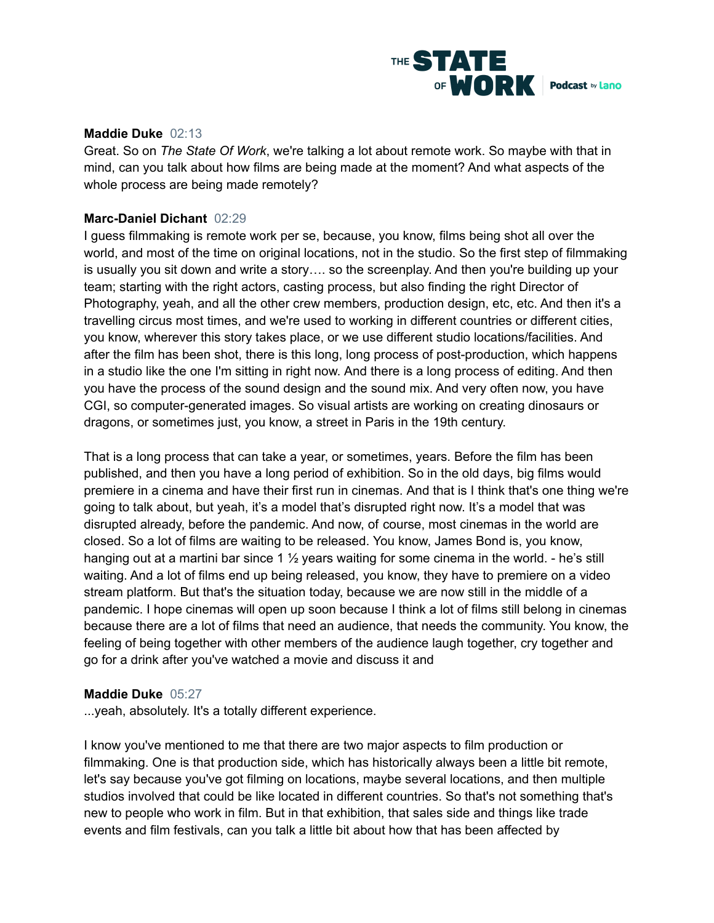

#### **Maddie Duke** 02:13

Great. So on *The State Of Work*, we're talking a lot about remote work. So maybe with that in mind, can you talk about how films are being made at the moment? And what aspects of the whole process are being made remotely?

# **Marc-Daniel Dichant** 02:29

I guess filmmaking is remote work per se, because, you know, films being shot all over the world, and most of the time on original locations, not in the studio. So the first step of filmmaking is usually you sit down and write a story…. so the screenplay. And then you're building up your team; starting with the right actors, casting process, but also finding the right Director of Photography, yeah, and all the other crew members, production design, etc, etc. And then it's a travelling circus most times, and we're used to working in different countries or different cities, you know, wherever this story takes place, or we use different studio locations/facilities. And after the film has been shot, there is this long, long process of post-production, which happens in a studio like the one I'm sitting in right now. And there is a long process of editing. And then you have the process of the sound design and the sound mix. And very often now, you have CGI, so computer-generated images. So visual artists are working on creating dinosaurs or dragons, or sometimes just, you know, a street in Paris in the 19th century.

That is a long process that can take a year, or sometimes, years. Before the film has been published, and then you have a long period of exhibition. So in the old days, big films would premiere in a cinema and have their first run in cinemas. And that is I think that's one thing we're going to talk about, but yeah, it's a model that's disrupted right now. It's a model that was disrupted already, before the pandemic. And now, of course, most cinemas in the world are closed. So a lot of films are waiting to be released. You know, James Bond is, you know, hanging out at a martini bar since 1  $\frac{1}{2}$  years waiting for some cinema in the world. - he's still waiting. And a lot of films end up being released, you know, they have to premiere on a video stream platform. But that's the situation today, because we are now still in the middle of a pandemic. I hope cinemas will open up soon because I think a lot of films still belong in cinemas because there are a lot of films that need an audience, that needs the community. You know, the feeling of being together with other members of the audience laugh together, cry together and go for a drink after you've watched a movie and discuss it and

#### **Maddie Duke** 05:27

...yeah, absolutely. It's a totally different experience.

I know you've mentioned to me that there are two major aspects to film production or filmmaking. One is that production side, which has historically always been a little bit remote, let's say because you've got filming on locations, maybe several locations, and then multiple studios involved that could be like located in different countries. So that's not something that's new to people who work in film. But in that exhibition, that sales side and things like trade events and film festivals, can you talk a little bit about how that has been affected by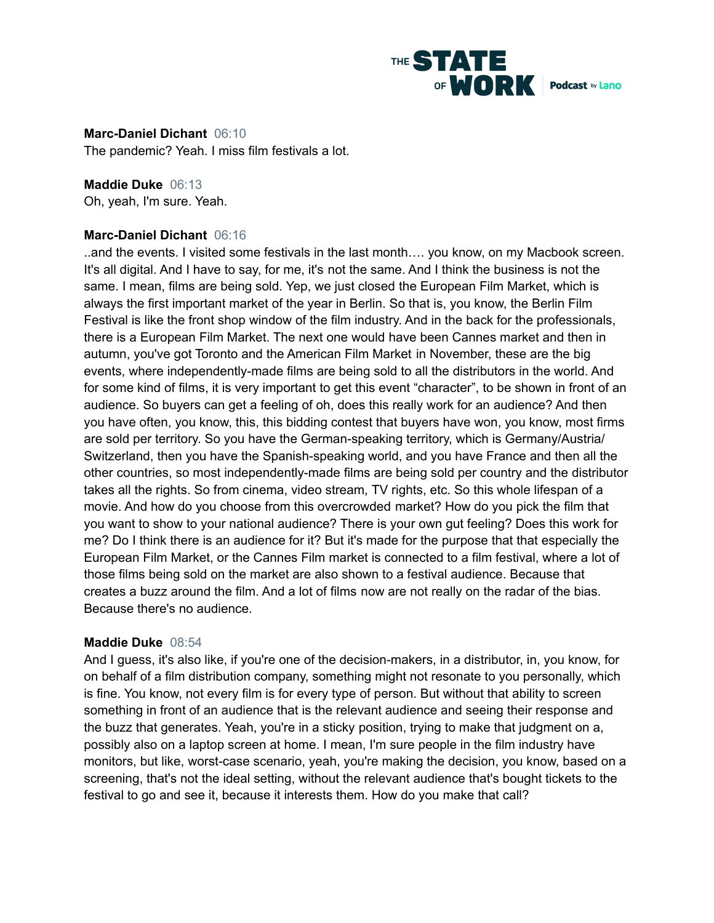

**Marc-Daniel Dichant** 06:10 The pandemic? Yeah. I miss film festivals a lot.

**Maddie Duke** 06:13 Oh, yeah, I'm sure. Yeah.

# **Marc-Daniel Dichant** 06:16

..and the events. I visited some festivals in the last month…. you know, on my Macbook screen. It's all digital. And I have to say, for me, it's not the same. And I think the business is not the same. I mean, films are being sold. Yep, we just closed the European Film Market, which is always the first important market of the year in Berlin. So that is, you know, the Berlin Film Festival is like the front shop window of the film industry. And in the back for the professionals, there is a European Film Market. The next one would have been Cannes market and then in autumn, you've got Toronto and the American Film Market in November, these are the big events, where independently-made films are being sold to all the distributors in the world. And for some kind of films, it is very important to get this event "character", to be shown in front of an audience. So buyers can get a feeling of oh, does this really work for an audience? And then you have often, you know, this, this bidding contest that buyers have won, you know, most firms are sold per territory. So you have the German-speaking territory, which is Germany/Austria/ Switzerland, then you have the Spanish-speaking world, and you have France and then all the other countries, so most independently-made films are being sold per country and the distributor takes all the rights. So from cinema, video stream, TV rights, etc. So this whole lifespan of a movie. And how do you choose from this overcrowded market? How do you pick the film that you want to show to your national audience? There is your own gut feeling? Does this work for me? Do I think there is an audience for it? But it's made for the purpose that that especially the European Film Market, or the Cannes Film market is connected to a film festival, where a lot of those films being sold on the market are also shown to a festival audience. Because that creates a buzz around the film. And a lot of films now are not really on the radar of the bias. Because there's no audience.

#### **Maddie Duke** 08:54

And I guess, it's also like, if you're one of the decision-makers, in a distributor, in, you know, for on behalf of a film distribution company, something might not resonate to you personally, which is fine. You know, not every film is for every type of person. But without that ability to screen something in front of an audience that is the relevant audience and seeing their response and the buzz that generates. Yeah, you're in a sticky position, trying to make that judgment on a, possibly also on a laptop screen at home. I mean, I'm sure people in the film industry have monitors, but like, worst-case scenario, yeah, you're making the decision, you know, based on a screening, that's not the ideal setting, without the relevant audience that's bought tickets to the festival to go and see it, because it interests them. How do you make that call?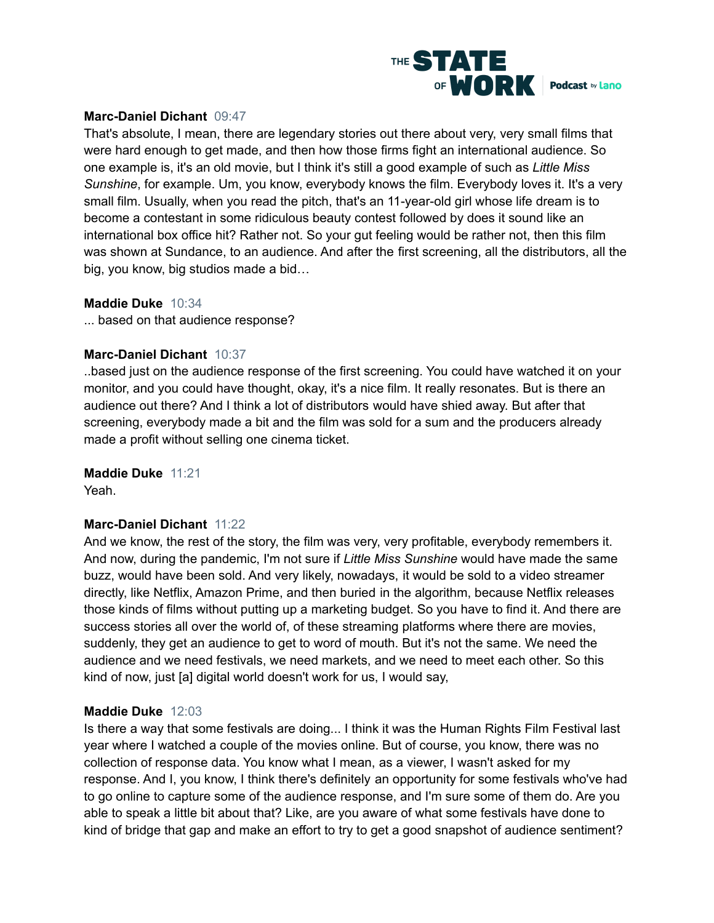

# **Marc-Daniel Dichant** 09:47

That's absolute, I mean, there are legendary stories out there about very, very small films that were hard enough to get made, and then how those firms fight an international audience. So one example is, it's an old movie, but I think it's still a good example of such as *Little Miss Sunshine*, for example. Um, you know, everybody knows the film. Everybody loves it. It's a very small film. Usually, when you read the pitch, that's an 11-year-old girl whose life dream is to become a contestant in some ridiculous beauty contest followed by does it sound like an international box office hit? Rather not. So your gut feeling would be rather not, then this film was shown at Sundance, to an audience. And after the first screening, all the distributors, all the big, you know, big studios made a bid…

# **Maddie Duke** 10:34

... based on that audience response?

# **Marc-Daniel Dichant** 10:37

..based just on the audience response of the first screening. You could have watched it on your monitor, and you could have thought, okay, it's a nice film. It really resonates. But is there an audience out there? And I think a lot of distributors would have shied away. But after that screening, everybody made a bit and the film was sold for a sum and the producers already made a profit without selling one cinema ticket.

# **Maddie Duke** 11:21

Yeah.

# **Marc-Daniel Dichant** 11:22

And we know, the rest of the story, the film was very, very profitable, everybody remembers it. And now, during the pandemic, I'm not sure if *Little Miss Sunshine* would have made the same buzz, would have been sold. And very likely, nowadays, it would be sold to a video streamer directly, like Netflix, Amazon Prime, and then buried in the algorithm, because Netflix releases those kinds of films without putting up a marketing budget. So you have to find it. And there are success stories all over the world of, of these streaming platforms where there are movies, suddenly, they get an audience to get to word of mouth. But it's not the same. We need the audience and we need festivals, we need markets, and we need to meet each other. So this kind of now, just [a] digital world doesn't work for us, I would say,

# **Maddie Duke** 12:03

Is there a way that some festivals are doing... I think it was the Human Rights Film Festival last year where I watched a couple of the movies online. But of course, you know, there was no collection of response data. You know what I mean, as a viewer, I wasn't asked for my response. And I, you know, I think there's definitely an opportunity for some festivals who've had to go online to capture some of the audience response, and I'm sure some of them do. Are you able to speak a little bit about that? Like, are you aware of what some festivals have done to kind of bridge that gap and make an effort to try to get a good snapshot of audience sentiment?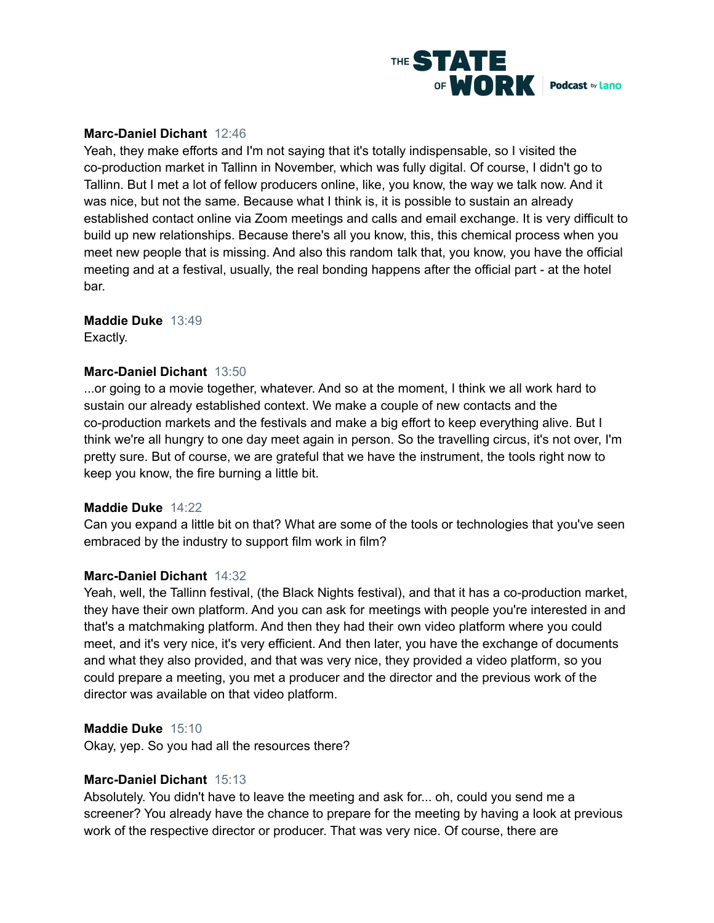

# **Marc-Daniel Dichant** 12:46

Yeah, they make efforts and I'm not saying that it's totally indispensable, so I visited the co-production market in Tallinn in November, which was fully digital. Of course, I didn't go to Tallinn. But I met a lot of fellow producers online, like, you know, the way we talk now. And it was nice, but not the same. Because what I think is, it is possible to sustain an already established contact online via Zoom meetings and calls and email exchange. It is very difficult to build up new relationships. Because there's all you know, this, this chemical process when you meet new people that is missing. And also this random talk that, you know, you have the official meeting and at a festival, usually, the real bonding happens after the official part - at the hotel bar.

# **Maddie Duke** 13:49

Exactly.

# **Marc-Daniel Dichant** 13:50

...or going to a movie together, whatever. And so at the moment, I think we all work hard to sustain our already established context. We make a couple of new contacts and the co-production markets and the festivals and make a big effort to keep everything alive. But I think we're all hungry to one day meet again in person. So the travelling circus, it's not over, I'm pretty sure. But of course, we are grateful that we have the instrument, the tools right now to keep you know, the fire burning a little bit.

#### **Maddie Duke** 14:22

Can you expand a little bit on that? What are some of the tools or technologies that you've seen embraced by the industry to support film work in film?

# **Marc-Daniel Dichant** 14:32

Yeah, well, the Tallinn festival, (the Black Nights festival), and that it has a co-production market, they have their own platform. And you can ask for meetings with people you're interested in and that's a matchmaking platform. And then they had their own video platform where you could meet, and it's very nice, it's very efficient. And then later, you have the exchange of documents and what they also provided, and that was very nice, they provided a video platform, so you could prepare a meeting, you met a producer and the director and the previous work of the director was available on that video platform.

#### **Maddie Duke** 15:10

Okay, yep. So you had all the resources there?

#### **Marc-Daniel Dichant** 15:13

Absolutely. You didn't have to leave the meeting and ask for... oh, could you send me a screener? You already have the chance to prepare for the meeting by having a look at previous work of the respective director or producer. That was very nice. Of course, there are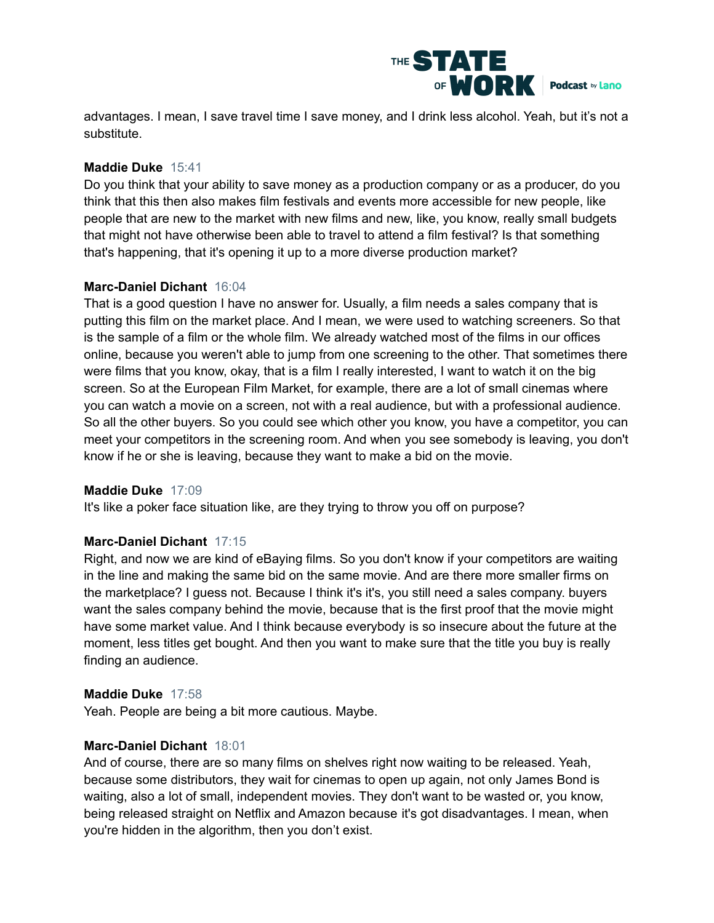

advantages. I mean, I save travel time I save money, and I drink less alcohol. Yeah, but it's not a substitute.

# **Maddie Duke** 15:41

Do you think that your ability to save money as a production company or as a producer, do you think that this then also makes film festivals and events more accessible for new people, like people that are new to the market with new films and new, like, you know, really small budgets that might not have otherwise been able to travel to attend a film festival? Is that something that's happening, that it's opening it up to a more diverse production market?

# **Marc-Daniel Dichant** 16:04

That is a good question I have no answer for. Usually, a film needs a sales company that is putting this film on the market place. And I mean, we were used to watching screeners. So that is the sample of a film or the whole film. We already watched most of the films in our offices online, because you weren't able to jump from one screening to the other. That sometimes there were films that you know, okay, that is a film I really interested, I want to watch it on the big screen. So at the European Film Market, for example, there are a lot of small cinemas where you can watch a movie on a screen, not with a real audience, but with a professional audience. So all the other buyers. So you could see which other you know, you have a competitor, you can meet your competitors in the screening room. And when you see somebody is leaving, you don't know if he or she is leaving, because they want to make a bid on the movie.

#### **Maddie Duke** 17:09

It's like a poker face situation like, are they trying to throw you off on purpose?

# **Marc-Daniel Dichant** 17:15

Right, and now we are kind of eBaying films. So you don't know if your competitors are waiting in the line and making the same bid on the same movie. And are there more smaller firms on the marketplace? I guess not. Because I think it's it's, you still need a sales company. buyers want the sales company behind the movie, because that is the first proof that the movie might have some market value. And I think because everybody is so insecure about the future at the moment, less titles get bought. And then you want to make sure that the title you buy is really finding an audience.

#### **Maddie Duke** 17:58

Yeah. People are being a bit more cautious. Maybe.

#### **Marc-Daniel Dichant** 18:01

And of course, there are so many films on shelves right now waiting to be released. Yeah, because some distributors, they wait for cinemas to open up again, not only James Bond is waiting, also a lot of small, independent movies. They don't want to be wasted or, you know, being released straight on Netflix and Amazon because it's got disadvantages. I mean, when you're hidden in the algorithm, then you don't exist.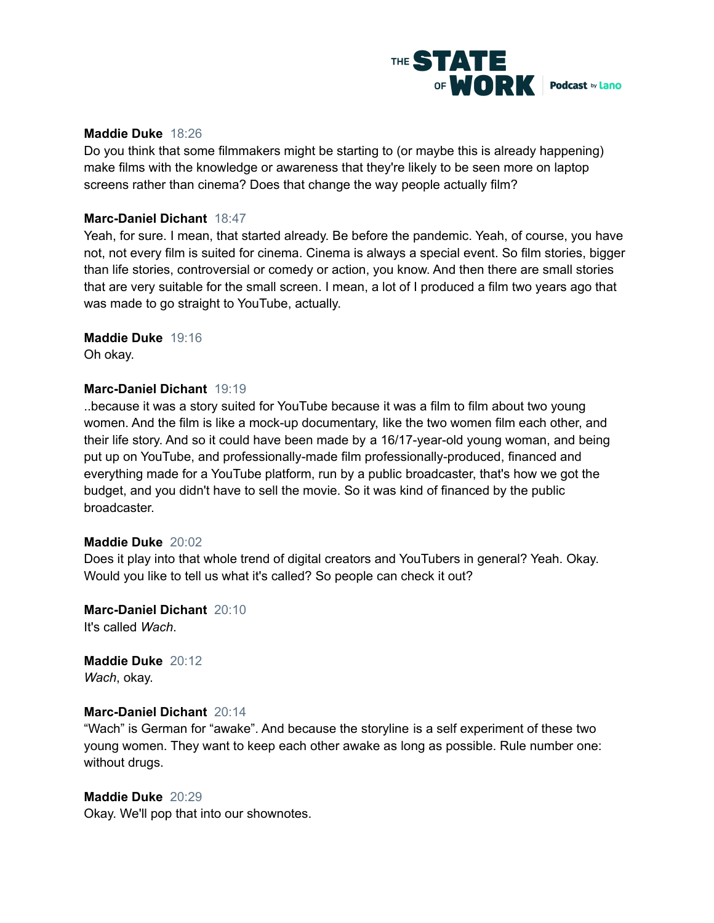

# **Maddie Duke** 18:26

Do you think that some filmmakers might be starting to (or maybe this is already happening) make films with the knowledge or awareness that they're likely to be seen more on laptop screens rather than cinema? Does that change the way people actually film?

#### **Marc-Daniel Dichant** 18:47

Yeah, for sure. I mean, that started already. Be before the pandemic. Yeah, of course, you have not, not every film is suited for cinema. Cinema is always a special event. So film stories, bigger than life stories, controversial or comedy or action, you know. And then there are small stories that are very suitable for the small screen. I mean, a lot of I produced a film two years ago that was made to go straight to YouTube, actually.

# **Maddie Duke** 19:16

Oh okay.

# **Marc-Daniel Dichant** 19:19

..because it was a story suited for YouTube because it was a film to film about two young women. And the film is like a mock-up documentary, like the two women film each other, and their life story. And so it could have been made by a 16/17-year-old young woman, and being put up on YouTube, and professionally-made film professionally-produced, financed and everything made for a YouTube platform, run by a public broadcaster, that's how we got the budget, and you didn't have to sell the movie. So it was kind of financed by the public broadcaster.

#### **Maddie Duke** 20:02

Does it play into that whole trend of digital creators and YouTubers in general? Yeah. Okay. Would you like to tell us what it's called? So people can check it out?

**Marc-Daniel Dichant** 20:10 It's called *Wach*.

**Maddie Duke** 20:12 *Wach*, okay.

# **Marc-Daniel Dichant** 20:14

"Wach" is German for "awake". And because the storyline is a self experiment of these two young women. They want to keep each other awake as long as possible. Rule number one: without drugs.

#### **Maddie Duke** 20:29

Okay. We'll pop that into our shownotes.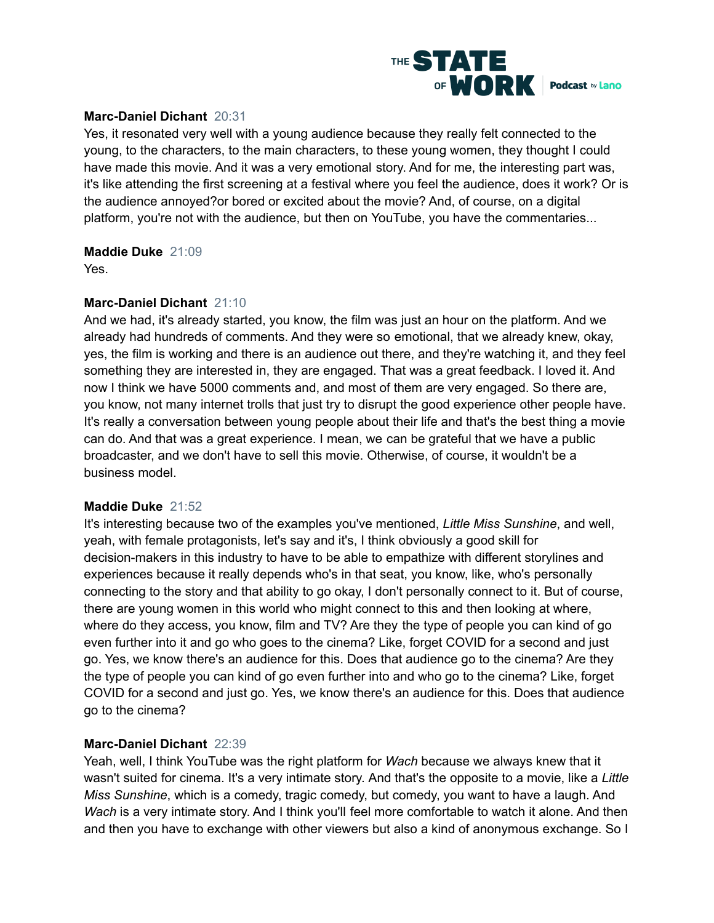

# **Marc-Daniel Dichant** 20:31

Yes, it resonated very well with a young audience because they really felt connected to the young, to the characters, to the main characters, to these young women, they thought I could have made this movie. And it was a very emotional story. And for me, the interesting part was, it's like attending the first screening at a festival where you feel the audience, does it work? Or is the audience annoyed?or bored or excited about the movie? And, of course, on a digital platform, you're not with the audience, but then on YouTube, you have the commentaries...

# **Maddie Duke** 21:09

Yes.

# **Marc-Daniel Dichant** 21:10

And we had, it's already started, you know, the film was just an hour on the platform. And we already had hundreds of comments. And they were so emotional, that we already knew, okay, yes, the film is working and there is an audience out there, and they're watching it, and they feel something they are interested in, they are engaged. That was a great feedback. I loved it. And now I think we have 5000 comments and, and most of them are very engaged. So there are, you know, not many internet trolls that just try to disrupt the good experience other people have. It's really a conversation between young people about their life and that's the best thing a movie can do. And that was a great experience. I mean, we can be grateful that we have a public broadcaster, and we don't have to sell this movie. Otherwise, of course, it wouldn't be a business model.

#### **Maddie Duke** 21:52

It's interesting because two of the examples you've mentioned, *Little Miss Sunshine*, and well, yeah, with female protagonists, let's say and it's, I think obviously a good skill for decision-makers in this industry to have to be able to empathize with different storylines and experiences because it really depends who's in that seat, you know, like, who's personally connecting to the story and that ability to go okay, I don't personally connect to it. But of course, there are young women in this world who might connect to this and then looking at where, where do they access, you know, film and TV? Are they the type of people you can kind of go even further into it and go who goes to the cinema? Like, forget COVID for a second and just go. Yes, we know there's an audience for this. Does that audience go to the cinema? Are they the type of people you can kind of go even further into and who go to the cinema? Like, forget COVID for a second and just go. Yes, we know there's an audience for this. Does that audience go to the cinema?

# **Marc-Daniel Dichant** 22:39

Yeah, well, I think YouTube was the right platform for *Wach* because we always knew that it wasn't suited for cinema. It's a very intimate story. And that's the opposite to a movie, like a *Little Miss Sunshine*, which is a comedy, tragic comedy, but comedy, you want to have a laugh. And *Wach* is a very intimate story. And I think you'll feel more comfortable to watch it alone. And then and then you have to exchange with other viewers but also a kind of anonymous exchange. So I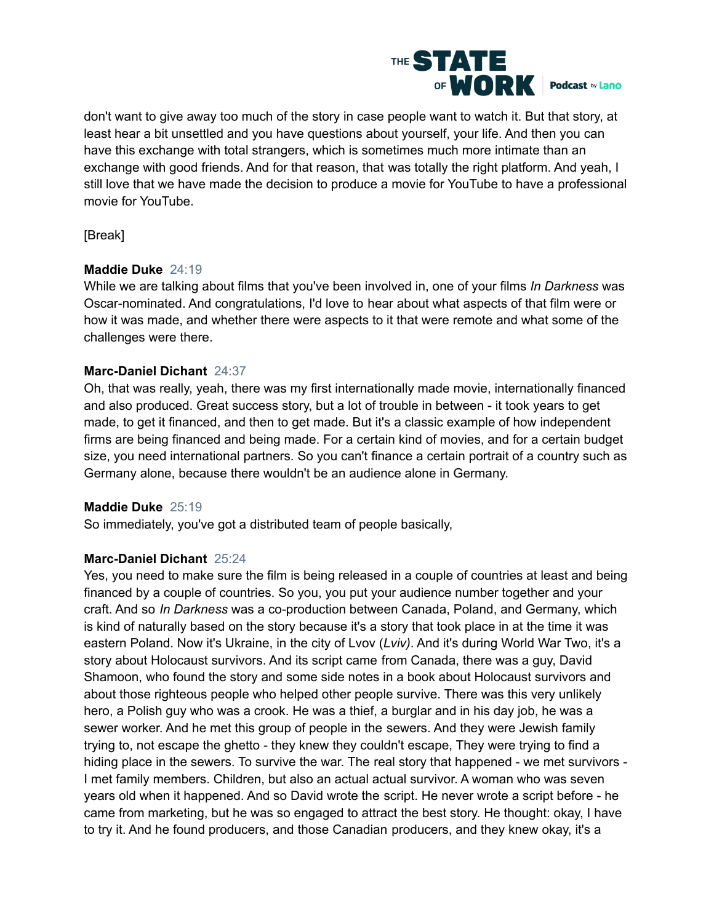

don't want to give away too much of the story in case people want to watch it. But that story, at least hear a bit unsettled and you have questions about yourself, your life. And then you can have this exchange with total strangers, which is sometimes much more intimate than an exchange with good friends. And for that reason, that was totally the right platform. And yeah, I still love that we have made the decision to produce a movie for YouTube to have a professional movie for YouTube.

[Break]

# **Maddie Duke** 24:19

While we are talking about films that you've been involved in, one of your films *In Darkness* was Oscar-nominated. And congratulations, I'd love to hear about what aspects of that film were or how it was made, and whether there were aspects to it that were remote and what some of the challenges were there.

# **Marc-Daniel Dichant** 24:37

Oh, that was really, yeah, there was my first internationally made movie, internationally financed and also produced. Great success story, but a lot of trouble in between - it took years to get made, to get it financed, and then to get made. But it's a classic example of how independent firms are being financed and being made. For a certain kind of movies, and for a certain budget size, you need international partners. So you can't finance a certain portrait of a country such as Germany alone, because there wouldn't be an audience alone in Germany.

# **Maddie Duke** 25:19

So immediately, you've got a distributed team of people basically,

# **Marc-Daniel Dichant** 25:24

Yes, you need to make sure the film is being released in a couple of countries at least and being financed by a couple of countries. So you, you put your audience number together and your craft. And so *In Darkness* was a co-production between Canada, Poland, and Germany, which is kind of naturally based on the story because it's a story that took place in at the time it was eastern Poland. Now it's Ukraine, in the city of Lvov (*Lviv)*. And it's during World War Two, it's a story about Holocaust survivors. And its script came from Canada, there was a guy, David Shamoon, who found the story and some side notes in a book about Holocaust survivors and about those righteous people who helped other people survive. There was this very unlikely hero, a Polish guy who was a crook. He was a thief, a burglar and in his day job, he was a sewer worker. And he met this group of people in the sewers. And they were Jewish family trying to, not escape the ghetto - they knew they couldn't escape, They were trying to find a hiding place in the sewers. To survive the war. The real story that happened - we met survivors - I met family members. Children, but also an actual actual survivor. A woman who was seven years old when it happened. And so David wrote the script. He never wrote a script before - he came from marketing, but he was so engaged to attract the best story. He thought: okay, I have to try it. And he found producers, and those Canadian producers, and they knew okay, it's a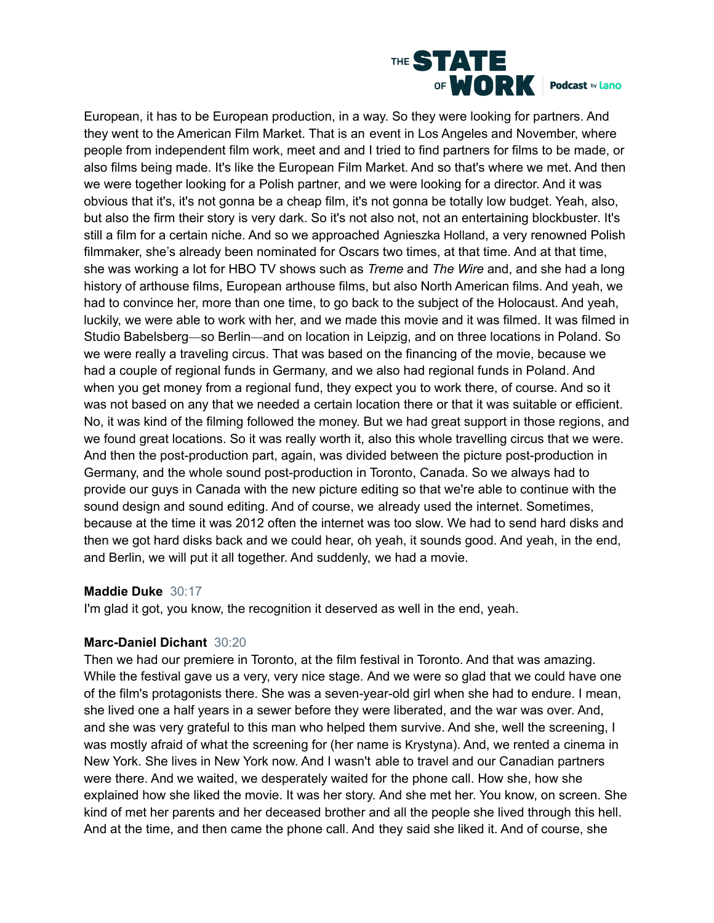

European, it has to be European production, in a way. So they were looking for partners. And they went to the American Film Market. That is an event in Los Angeles and November, where people from independent film work, meet and and I tried to find partners for films to be made, or also films being made. It's like the European Film Market. And so that's where we met. And then we were together looking for a Polish partner, and we were looking for a director. And it was obvious that it's, it's not gonna be a cheap film, it's not gonna be totally low budget. Yeah, also, but also the firm their story is very dark. So it's not also not, not an entertaining blockbuster. It's still a film for a certain niche. And so we approached Agnieszka Holland, a very renowned Polish filmmaker, she's already been nominated for Oscars two times, at that time. And at that time, she was working a lot for HBO TV shows such as *Treme* and *The Wire* and, and she had a long history of arthouse films, European arthouse films, but also North American films. And yeah, we had to convince her, more than one time, to go back to the subject of the Holocaust. And yeah, luckily, we were able to work with her, and we made this movie and it was filmed. It was filmed in Studio Babelsberg—so Berlin—and on location in Leipzig, and on three locations in Poland. So we were really a traveling circus. That was based on the financing of the movie, because we had a couple of regional funds in Germany, and we also had regional funds in Poland. And when you get money from a regional fund, they expect you to work there, of course. And so it was not based on any that we needed a certain location there or that it was suitable or efficient. No, it was kind of the filming followed the money. But we had great support in those regions, and we found great locations. So it was really worth it, also this whole travelling circus that we were. And then the post-production part, again, was divided between the picture post-production in Germany, and the whole sound post-production in Toronto, Canada. So we always had to provide our guys in Canada with the new picture editing so that we're able to continue with the sound design and sound editing. And of course, we already used the internet. Sometimes, because at the time it was 2012 often the internet was too slow. We had to send hard disks and then we got hard disks back and we could hear, oh yeah, it sounds good. And yeah, in the end, and Berlin, we will put it all together. And suddenly, we had a movie.

#### **Maddie Duke** 30:17

I'm glad it got, you know, the recognition it deserved as well in the end, yeah.

# **Marc-Daniel Dichant** 30:20

Then we had our premiere in Toronto, at the film festival in Toronto. And that was amazing. While the festival gave us a very, very nice stage. And we were so glad that we could have one of the film's protagonists there. She was a seven-year-old girl when she had to endure. I mean, she lived one a half years in a sewer before they were liberated, and the war was over. And, and she was very grateful to this man who helped them survive. And she, well the screening, I was mostly afraid of what the screening for (her name is Krystyna). And, we rented a cinema in New York. She lives in New York now. And I wasn't able to travel and our Canadian partners were there. And we waited, we desperately waited for the phone call. How she, how she explained how she liked the movie. It was her story. And she met her. You know, on screen. She kind of met her parents and her deceased brother and all the people she lived through this hell. And at the time, and then came the phone call. And they said she liked it. And of course, she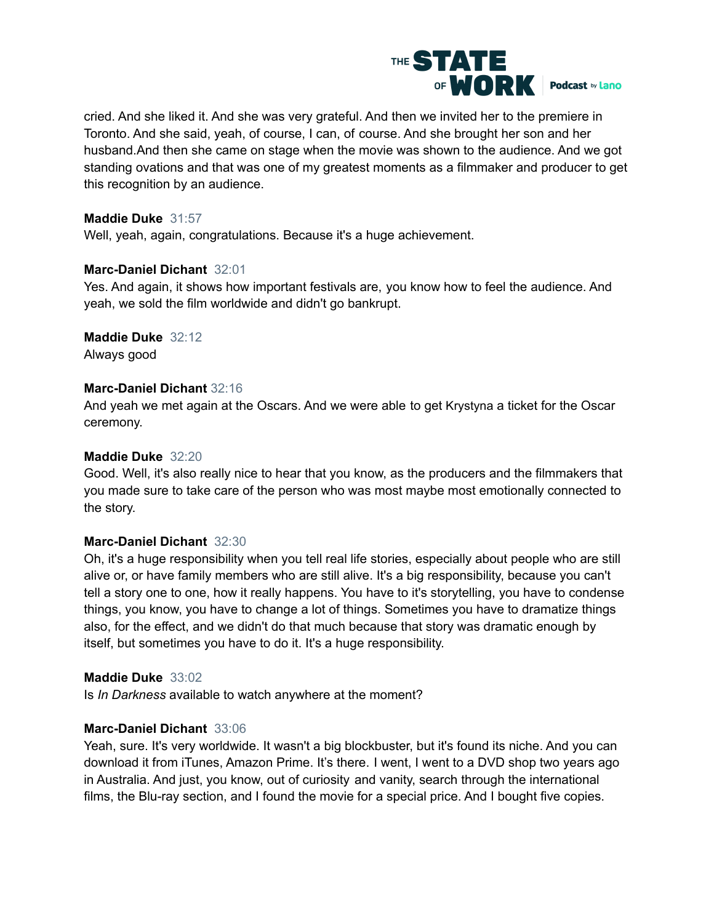

cried. And she liked it. And she was very grateful. And then we invited her to the premiere in Toronto. And she said, yeah, of course, I can, of course. And she brought her son and her husband.And then she came on stage when the movie was shown to the audience. And we got standing ovations and that was one of my greatest moments as a filmmaker and producer to get this recognition by an audience.

# **Maddie Duke** 31:57

Well, yeah, again, congratulations. Because it's a huge achievement.

#### **Marc-Daniel Dichant** 32:01

Yes. And again, it shows how important festivals are, you know how to feel the audience. And yeah, we sold the film worldwide and didn't go bankrupt.

# **Maddie Duke** 32:12

Always good

# **Marc-Daniel Dichant** 32:16

And yeah we met again at the Oscars. And we were able to get Krystyna a ticket for the Oscar ceremony.

# **Maddie Duke** 32:20

Good. Well, it's also really nice to hear that you know, as the producers and the filmmakers that you made sure to take care of the person who was most maybe most emotionally connected to the story.

# **Marc-Daniel Dichant** 32:30

Oh, it's a huge responsibility when you tell real life stories, especially about people who are still alive or, or have family members who are still alive. It's a big responsibility, because you can't tell a story one to one, how it really happens. You have to it's storytelling, you have to condense things, you know, you have to change a lot of things. Sometimes you have to dramatize things also, for the effect, and we didn't do that much because that story was dramatic enough by itself, but sometimes you have to do it. It's a huge responsibility.

#### **Maddie Duke** 33:02

Is *In Darkness* available to watch anywhere at the moment?

# **Marc-Daniel Dichant** 33:06

Yeah, sure. It's very worldwide. It wasn't a big blockbuster, but it's found its niche. And you can download it from iTunes, Amazon Prime. It's there. I went, I went to a DVD shop two years ago in Australia. And just, you know, out of curiosity and vanity, search through the international films, the Blu-ray section, and I found the movie for a special price. And I bought five copies.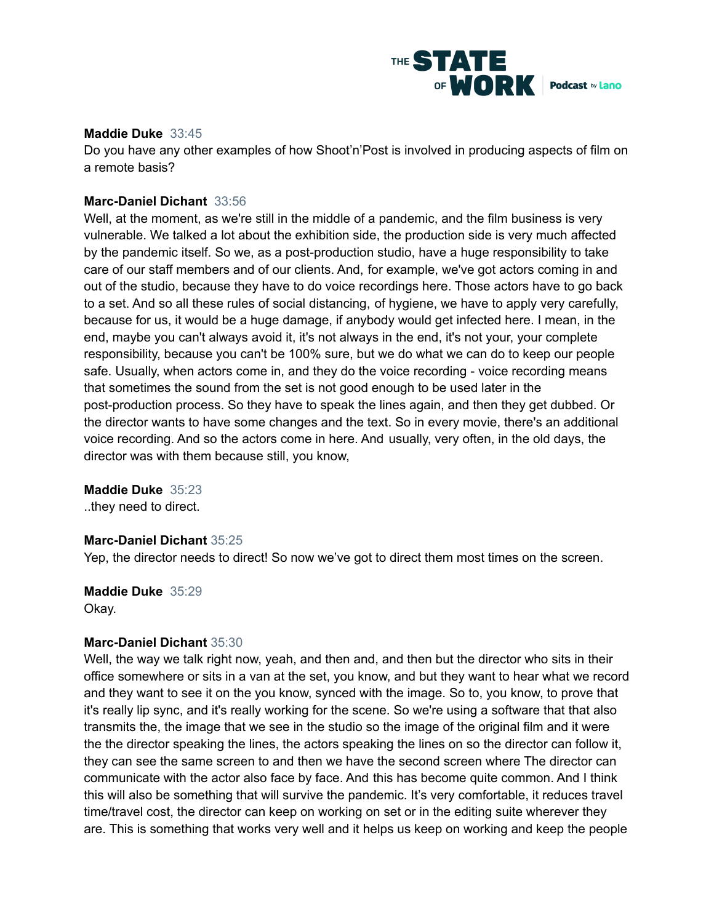

#### **Maddie Duke** 33:45

Do you have any other examples of how Shoot'n'Post is involved in producing aspects of film on a remote basis?

# **Marc-Daniel Dichant** 33:56

Well, at the moment, as we're still in the middle of a pandemic, and the film business is very vulnerable. We talked a lot about the exhibition side, the production side is very much affected by the pandemic itself. So we, as a post-production studio, have a huge responsibility to take care of our staff members and of our clients. And, for example, we've got actors coming in and out of the studio, because they have to do voice recordings here. Those actors have to go back to a set. And so all these rules of social distancing, of hygiene, we have to apply very carefully, because for us, it would be a huge damage, if anybody would get infected here. I mean, in the end, maybe you can't always avoid it, it's not always in the end, it's not your, your complete responsibility, because you can't be 100% sure, but we do what we can do to keep our people safe. Usually, when actors come in, and they do the voice recording - voice recording means that sometimes the sound from the set is not good enough to be used later in the post-production process. So they have to speak the lines again, and then they get dubbed. Or the director wants to have some changes and the text. So in every movie, there's an additional voice recording. And so the actors come in here. And usually, very often, in the old days, the director was with them because still, you know,

**Maddie Duke** 35:23

..they need to direct.

#### **Marc-Daniel Dichant** 35:25

Yep, the director needs to direct! So now we've got to direct them most times on the screen.

**Maddie Duke** 35:29

Okay.

#### **Marc-Daniel Dichant** 35:30

Well, the way we talk right now, yeah, and then and, and then but the director who sits in their office somewhere or sits in a van at the set, you know, and but they want to hear what we record and they want to see it on the you know, synced with the image. So to, you know, to prove that it's really lip sync, and it's really working for the scene. So we're using a software that that also transmits the, the image that we see in the studio so the image of the original film and it were the the director speaking the lines, the actors speaking the lines on so the director can follow it, they can see the same screen to and then we have the second screen where The director can communicate with the actor also face by face. And this has become quite common. And I think this will also be something that will survive the pandemic. It's very comfortable, it reduces travel time/travel cost, the director can keep on working on set or in the editing suite wherever they are. This is something that works very well and it helps us keep on working and keep the people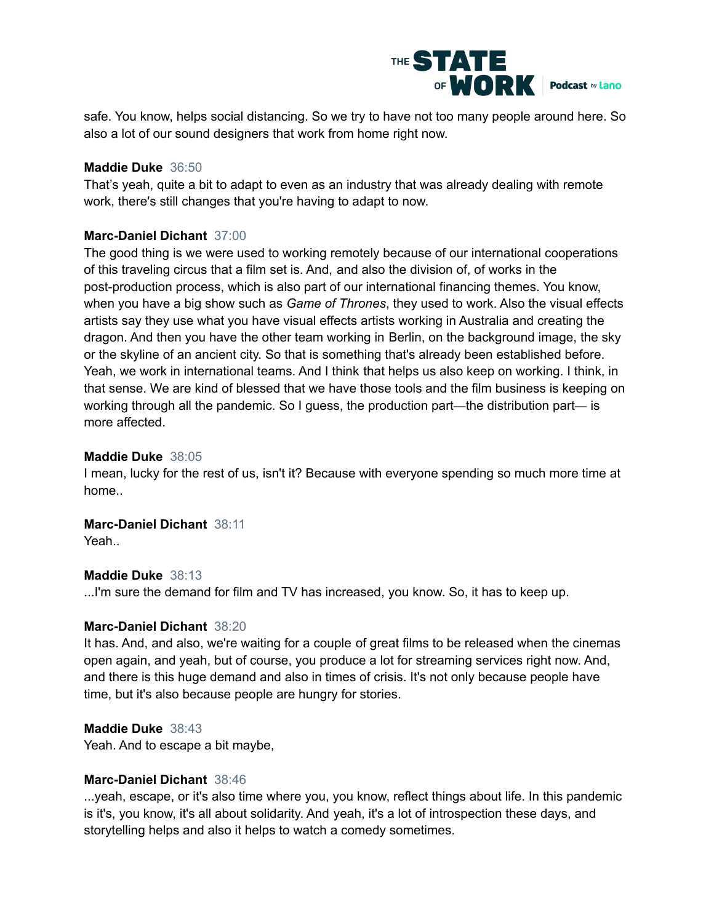

safe. You know, helps social distancing. So we try to have not too many people around here. So also a lot of our sound designers that work from home right now.

#### **Maddie Duke** 36:50

That's yeah, quite a bit to adapt to even as an industry that was already dealing with remote work, there's still changes that you're having to adapt to now.

# **Marc-Daniel Dichant** 37:00

The good thing is we were used to working remotely because of our international cooperations of this traveling circus that a film set is. And, and also the division of, of works in the post-production process, which is also part of our international financing themes. You know, when you have a big show such as *Game of Thrones*, they used to work. Also the visual effects artists say they use what you have visual effects artists working in Australia and creating the dragon. And then you have the other team working in Berlin, on the background image, the sky or the skyline of an ancient city. So that is something that's already been established before. Yeah, we work in international teams. And I think that helps us also keep on working. I think, in that sense. We are kind of blessed that we have those tools and the film business is keeping on working through all the pandemic. So I guess, the production part—the distribution part— is more affected.

# **Maddie Duke** 38:05

I mean, lucky for the rest of us, isn't it? Because with everyone spending so much more time at home..

# **Marc-Daniel Dichant** 38:11

Yeah..

# **Maddie Duke** 38:13

...I'm sure the demand for film and TV has increased, you know. So, it has to keep up.

#### **Marc-Daniel Dichant** 38:20

It has. And, and also, we're waiting for a couple of great films to be released when the cinemas open again, and yeah, but of course, you produce a lot for streaming services right now. And, and there is this huge demand and also in times of crisis. It's not only because people have time, but it's also because people are hungry for stories.

#### **Maddie Duke** 38:43

Yeah. And to escape a bit maybe,

#### **Marc-Daniel Dichant** 38:46

...yeah, escape, or it's also time where you, you know, reflect things about life. In this pandemic is it's, you know, it's all about solidarity. And yeah, it's a lot of introspection these days, and storytelling helps and also it helps to watch a comedy sometimes.